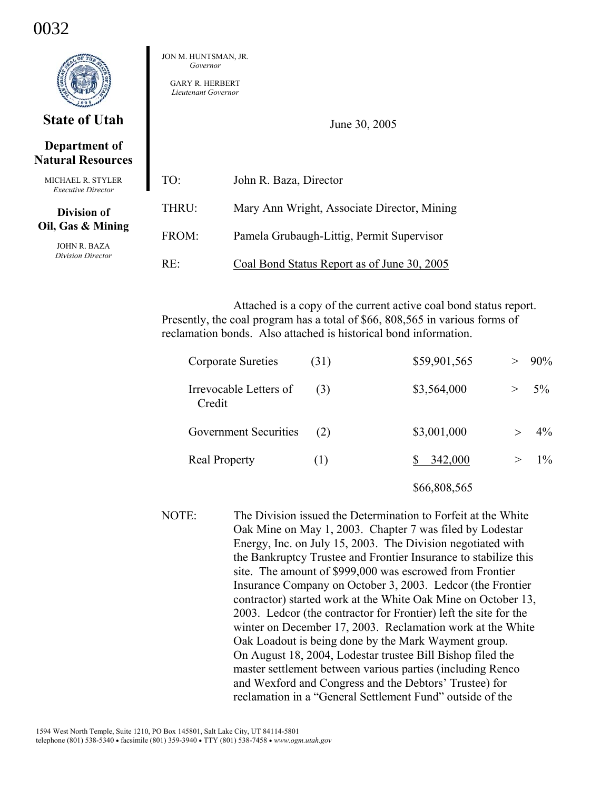# 0032



# **State of Utah**

# **Department of Natural Resources**

| MICHAEL R. STYLER<br><b>Executive Director</b>         | TO:    | John R. Baza, Director                      |
|--------------------------------------------------------|--------|---------------------------------------------|
| Division of                                            | THRU:  | Mary Ann Wright, Associate Director, Mining |
| Oil, Gas & Mining<br>JOHN R. BAZA<br>Division Director | FROM:  | Pamela Grubaugh-Littig, Permit Supervisor   |
|                                                        | $RE^+$ | Coal Bond Status Report as of June 30, 2005 |

JON M. HUNTSMAN, JR. *Governor*  GARY R. HERBERT *Lieutenant Governor* 

Attached is a copy of the current active coal bond status report. Presently, the coal program has a total of \$66, 808,565 in various forms of reclamation bonds. Also attached is historical bond information.

June 30, 2005

| <b>Corporate Sureties</b>        | (31) | \$59,901,565 |   | $> 90\%$ |
|----------------------------------|------|--------------|---|----------|
| Irrevocable Letters of<br>Credit | (3)  | \$3,564,000  | > | $5\%$    |
| <b>Government Securities</b>     | (2)  | \$3,001,000  |   | $4\%$    |
| <b>Real Property</b>             | (1)  | 342,000      |   | $> 1\%$  |
|                                  |      | \$66,808,565 |   |          |

NOTE: The Division issued the Determination to Forfeit at the White Oak Mine on May 1, 2003. Chapter 7 was filed by Lodestar Energy, Inc. on July 15, 2003. The Division negotiated with the Bankruptcy Trustee and Frontier Insurance to stabilize this site. The amount of \$999,000 was escrowed from Frontier Insurance Company on October 3, 2003. Ledcor (the Frontier contractor) started work at the White Oak Mine on October 13, 2003. Ledcor (the contractor for Frontier) left the site for the winter on December 17, 2003. Reclamation work at the White Oak Loadout is being done by the Mark Wayment group. On August 18, 2004, Lodestar trustee Bill Bishop filed the master settlement between various parties (including Renco and Wexford and Congress and the Debtors' Trustee) for reclamation in a "General Settlement Fund" outside of the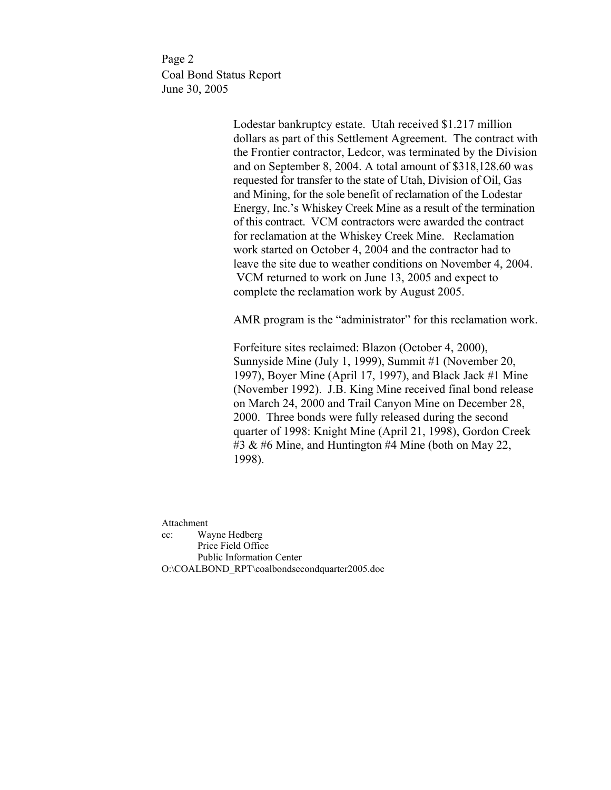Page 2 Coal Bond Status Report June 30, 2005

> Lodestar bankruptcy estate. Utah received \$1.217 million dollars as part of this Settlement Agreement. The contract with the Frontier contractor, Ledcor, was terminated by the Division and on September 8, 2004. A total amount of \$318,128.60 was requested for transfer to the state of Utah, Division of Oil, Gas and Mining, for the sole benefit of reclamation of the Lodestar Energy, Inc.'s Whiskey Creek Mine as a result of the termination of this contract. VCM contractors were awarded the contract for reclamation at the Whiskey Creek Mine. Reclamation work started on October 4, 2004 and the contractor had to leave the site due to weather conditions on November 4, 2004. VCM returned to work on June 13, 2005 and expect to complete the reclamation work by August 2005.

> AMR program is the "administrator" for this reclamation work.

 Forfeiture sites reclaimed: Blazon (October 4, 2000), Sunnyside Mine (July 1, 1999), Summit #1 (November 20, 1997), Boyer Mine (April 17, 1997), and Black Jack #1 Mine (November 1992). J.B. King Mine received final bond release on March 24, 2000 and Trail Canyon Mine on December 28, 2000. Three bonds were fully released during the second quarter of 1998: Knight Mine (April 21, 1998), Gordon Creek #3  $\&$  #6 Mine, and Huntington #4 Mine (both on May 22, 1998).

Attachment cc: Wayne Hedberg Price Field Office Public Information Center O:\COALBOND\_RPT\coalbondsecondquarter2005.doc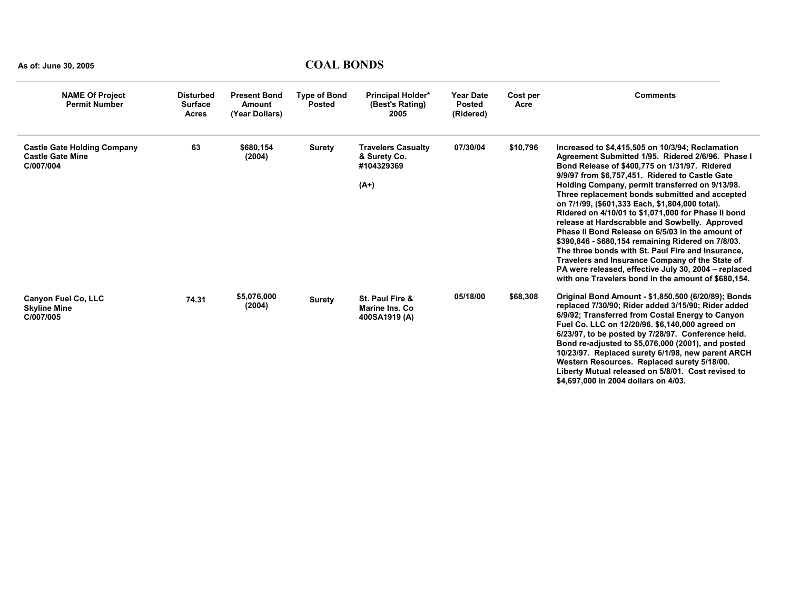| <b>NAME Of Project</b><br><b>Permit Number</b>                             | <b>Disturbed</b><br><b>Surface</b><br><b>Acres</b> | <b>Present Bond</b><br>Amount<br>(Year Dollars) | <b>Type of Bond</b><br><b>Posted</b> | <b>Principal Holder*</b><br>(Best's Rating)<br>2005               | <b>Year Date</b><br><b>Posted</b><br>(Ridered) | Cost per<br>Acre | <b>Comments</b>                                                                                                                                                                                                                                                                                                                                                                                                                                                                                                                                                                                                                                                                                                                                                                                             |
|----------------------------------------------------------------------------|----------------------------------------------------|-------------------------------------------------|--------------------------------------|-------------------------------------------------------------------|------------------------------------------------|------------------|-------------------------------------------------------------------------------------------------------------------------------------------------------------------------------------------------------------------------------------------------------------------------------------------------------------------------------------------------------------------------------------------------------------------------------------------------------------------------------------------------------------------------------------------------------------------------------------------------------------------------------------------------------------------------------------------------------------------------------------------------------------------------------------------------------------|
| <b>Castle Gate Holding Company</b><br><b>Castle Gate Mine</b><br>C/007/004 | 63                                                 | \$680,154<br>(2004)                             | <b>Surety</b>                        | <b>Travelers Casualty</b><br>& Surety Co.<br>#104329369<br>$(A+)$ | 07/30/04                                       | \$10,796         | Increased to \$4,415,505 on 10/3/94; Reclamation<br>Agreement Submitted 1/95. Ridered 2/6/96. Phase I<br>Bond Release of \$400,775 on 1/31/97. Ridered<br>9/9/97 from \$6,757,451. Ridered to Castle Gate<br>Holding Company, permit transferred on 9/13/98.<br>Three replacement bonds submitted and accepted<br>on 7/1/99, (\$601,333 Each, \$1,804,000 total).<br>Ridered on 4/10/01 to \$1,071,000 for Phase II bond<br>release at Hardscrabble and Sowbelly. Approved<br>Phase II Bond Release on 6/5/03 in the amount of<br>\$390,846 - \$680,154 remaining Ridered on 7/8/03.<br>The three bonds with St. Paul Fire and Insurance.<br>Travelers and Insurance Company of the State of<br>PA were released, effective July 30, 2004 - replaced<br>with one Travelers bond in the amount of \$680,154. |
| Canyon Fuel Co, LLC<br><b>Skyline Mine</b><br>C/007/005                    | 74.31                                              | \$5,076,000<br>(2004)                           | <b>Surety</b>                        | St. Paul Fire &<br><b>Marine Ins. Co</b><br>400SA1919 (A)         | 05/18/00                                       | \$68,308         | Original Bond Amount - \$1,850,500 (6/20/89); Bonds<br>replaced 7/30/90; Rider added 3/15/90; Rider added<br>6/9/92; Transferred from Costal Energy to Canyon<br>Fuel Co. LLC on 12/20/96. \$6,140,000 agreed on<br>6/23/97, to be posted by 7/28/97. Conference held.<br>Bond re-adjusted to \$5,076,000 (2001), and posted<br>10/23/97. Replaced surety 6/1/98, new parent ARCH<br>Western Resources. Replaced surety 5/18/00.<br>Liberty Mutual released on 5/8/01. Cost revised to<br>\$4,697,000 in 2004 dollars on 4/03.                                                                                                                                                                                                                                                                              |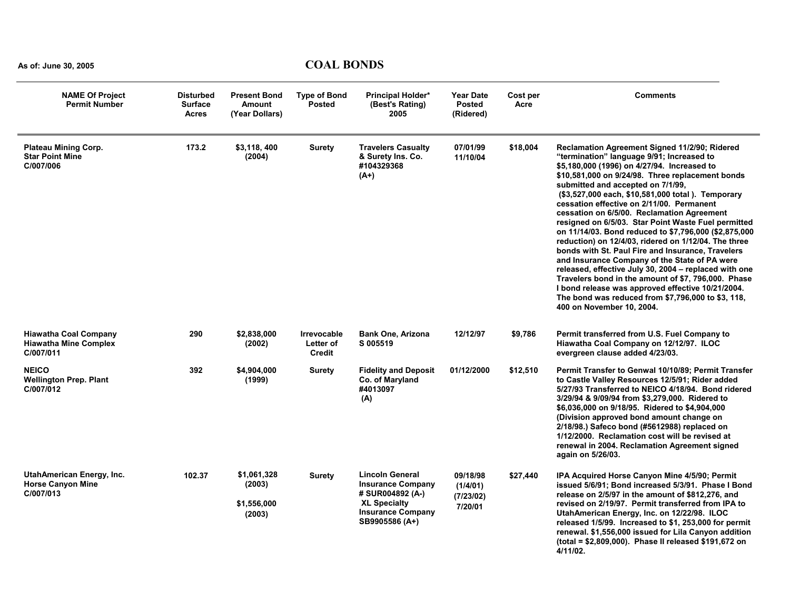| <b>NAME Of Project</b><br><b>Permit Number</b>                            | <b>Disturbed</b><br><b>Surface</b><br><b>Acres</b> | <b>Present Bond</b><br>Amount<br>(Year Dollars) | <b>Type of Bond</b><br><b>Posted</b>             | <b>Principal Holder*</b><br>(Best's Rating)<br>2005                                                                                         | <b>Year Date</b><br><b>Posted</b><br>(Ridered) | Cost per<br>Acre | <b>Comments</b>                                                                                                                                                                                                                                                                                                                                                                                                                                                                                                                                                                                                                                                                                                                                                                                                                                                                                                                 |
|---------------------------------------------------------------------------|----------------------------------------------------|-------------------------------------------------|--------------------------------------------------|---------------------------------------------------------------------------------------------------------------------------------------------|------------------------------------------------|------------------|---------------------------------------------------------------------------------------------------------------------------------------------------------------------------------------------------------------------------------------------------------------------------------------------------------------------------------------------------------------------------------------------------------------------------------------------------------------------------------------------------------------------------------------------------------------------------------------------------------------------------------------------------------------------------------------------------------------------------------------------------------------------------------------------------------------------------------------------------------------------------------------------------------------------------------|
| <b>Plateau Mining Corp.</b><br><b>Star Point Mine</b><br>C/007/006        | 173.2                                              | \$3.118.400<br>(2004)                           | <b>Surety</b>                                    | <b>Travelers Casualty</b><br>& Surety Ins. Co.<br>#104329368<br>$(A+)$                                                                      | 07/01/99<br>11/10/04                           | \$18,004         | <b>Reclamation Agreement Signed 11/2/90; Ridered</b><br>"termination" language 9/91; Increased to<br>\$5,180,000 (1996) on 4/27/94. Increased to<br>\$10,581,000 on 9/24/98. Three replacement bonds<br>submitted and accepted on 7/1/99,<br>(\$3,527,000 each, \$10,581,000 total). Temporary<br>cessation effective on 2/11/00. Permanent<br>cessation on 6/5/00. Reclamation Agreement<br>resigned on 6/5/03. Star Point Waste Fuel permitted<br>on 11/14/03. Bond reduced to \$7,796,000 (\$2,875,000<br>reduction) on 12/4/03, ridered on 1/12/04. The three<br>bonds with St. Paul Fire and Insurance, Travelers<br>and Insurance Company of the State of PA were<br>released, effective July 30, 2004 - replaced with one<br>Travelers bond in the amount of \$7, 796,000. Phase<br>I bond release was approved effective 10/21/2004.<br>The bond was reduced from \$7,796,000 to \$3, 118,<br>400 on November 10, 2004. |
| <b>Hiawatha Coal Company</b><br><b>Hiawatha Mine Complex</b><br>C/007/011 | 290                                                | \$2,838,000<br>(2002)                           | <b>Irrevocable</b><br>Letter of<br><b>Credit</b> | <b>Bank One, Arizona</b><br>S 005519                                                                                                        | 12/12/97                                       | \$9,786          | Permit transferred from U.S. Fuel Company to<br>Hiawatha Coal Company on 12/12/97. ILOC<br>evergreen clause added 4/23/03.                                                                                                                                                                                                                                                                                                                                                                                                                                                                                                                                                                                                                                                                                                                                                                                                      |
| <b>NEICO</b><br><b>Wellington Prep. Plant</b><br>C/007/012                | 392                                                | \$4,904,000<br>(1999)                           | <b>Surety</b>                                    | <b>Fidelity and Deposit</b><br>Co. of Maryland<br>#4013097<br>(A)                                                                           | 01/12/2000                                     | \$12,510         | Permit Transfer to Genwal 10/10/89; Permit Transfer<br>to Castle Valley Resources 12/5/91; Rider added<br>5/27/93 Transferred to NEICO 4/18/94. Bond ridered<br>3/29/94 & 9/09/94 from \$3,279,000. Ridered to<br>\$6,036,000 on 9/18/95. Ridered to \$4,904,000<br>(Division approved bond amount change on<br>2/18/98.) Safeco bond (#5612988) replaced on<br>1/12/2000. Reclamation cost will be revised at<br>renewal in 2004. Reclamation Agreement signed<br>again on 5/26/03.                                                                                                                                                                                                                                                                                                                                                                                                                                            |
| UtahAmerican Energy, Inc.<br><b>Horse Canyon Mine</b><br>C/007/013        | 102.37                                             | \$1,061,328<br>(2003)<br>\$1,556,000<br>(2003)  | <b>Surety</b>                                    | <b>Lincoln General</b><br><b>Insurance Company</b><br># SUR004892 (A-)<br><b>XL Specialty</b><br><b>Insurance Company</b><br>SB9905586 (A+) | 09/18/98<br>(1/4/01)<br>(7/23/02)<br>7/20/01   | \$27,440         | IPA Acquired Horse Canyon Mine 4/5/90; Permit<br>issued 5/6/91; Bond increased 5/3/91. Phase I Bond<br>release on 2/5/97 in the amount of \$812,276, and<br>revised on 2/19/97. Permit transferred from IPA to<br>UtahAmerican Energy, Inc. on 12/22/98. ILOC<br>released 1/5/99. Increased to \$1, 253,000 for permit<br>renewal. \$1,556,000 issued for Lila Canyon addition<br>(total = \$2,809,000). Phase II released \$191,672 on<br>4/11/02.                                                                                                                                                                                                                                                                                                                                                                                                                                                                             |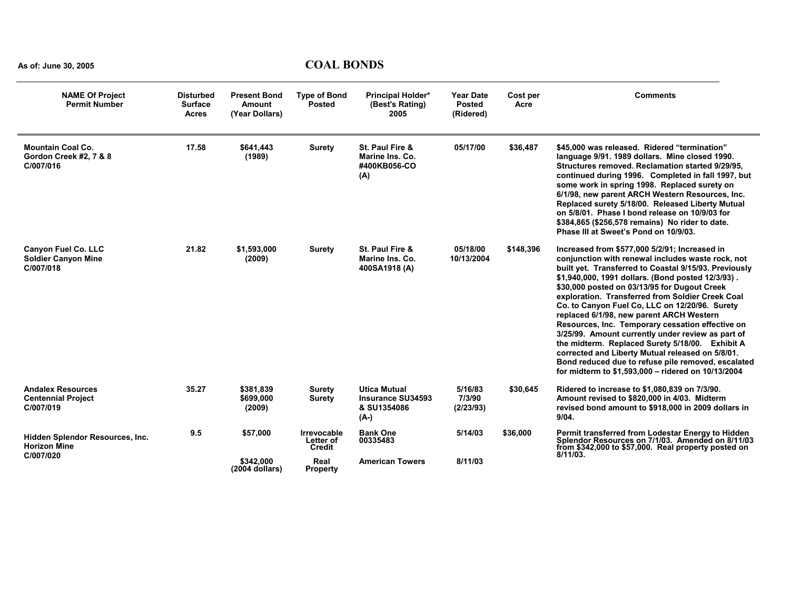| <b>NAME Of Project</b><br><b>Permit Number</b>                        | <b>Disturbed</b><br><b>Surface</b><br><b>Acres</b> | <b>Present Bond</b><br><b>Amount</b><br>(Year Dollars) | <b>Type of Bond</b><br><b>Posted</b>      | <b>Principal Holder*</b><br>(Best's Rating)<br>2005             | <b>Year Date</b><br><b>Posted</b><br>(Ridered) | Cost per<br>Acre | <b>Comments</b>                                                                                                                                                                                                                                                                                                                                                                                                                                                                                                                                                                                                                                                                                                                                |
|-----------------------------------------------------------------------|----------------------------------------------------|--------------------------------------------------------|-------------------------------------------|-----------------------------------------------------------------|------------------------------------------------|------------------|------------------------------------------------------------------------------------------------------------------------------------------------------------------------------------------------------------------------------------------------------------------------------------------------------------------------------------------------------------------------------------------------------------------------------------------------------------------------------------------------------------------------------------------------------------------------------------------------------------------------------------------------------------------------------------------------------------------------------------------------|
| <b>Mountain Coal Co.</b><br>Gordon Creek #2, 7 & 8<br>C/007/016       | 17.58                                              | \$641,443<br>(1989)                                    | <b>Surety</b>                             | St. Paul Fire &<br>Marine Ins. Co.<br>#400KB056-CO<br>(A)       | 05/17/00                                       | \$36,487         | \$45,000 was released. Ridered "termination"<br>language 9/91, 1989 dollars. Mine closed 1990.<br>Structures removed. Reclamation started 9/29/95.<br>continued during 1996. Completed in fall 1997, but<br>some work in spring 1998. Replaced surety on<br>6/1/98, new parent ARCH Western Resources, Inc.<br>Replaced surety 5/18/00. Released Liberty Mutual<br>on 5/8/01. Phase I bond release on 10/9/03 for<br>\$384,865 (\$256,578 remains) No rider to date.<br>Phase III at Sweet's Pond on 10/9/03.                                                                                                                                                                                                                                  |
| <b>Canyon Fuel Co. LLC</b><br><b>Soldier Canyon Mine</b><br>C/007/018 | 21.82                                              | \$1,593,000<br>(2009)                                  | <b>Surety</b>                             | St. Paul Fire &<br>Marine Ins. Co.<br>400SA1918 (A)             | 05/18/00<br>10/13/2004                         | \$148,396        | Increased from \$577,000 5/2/91; Increased in<br>conjunction with renewal includes waste rock, not<br>built yet. Transferred to Coastal 9/15/93. Previously<br>\$1,940,000, 1991 dollars. (Bond posted 12/3/93).<br>\$30,000 posted on 03/13/95 for Dugout Creek<br>exploration. Transferred from Soldier Creek Coal<br>Co. to Canyon Fuel Co. LLC on 12/20/96. Surety<br>replaced 6/1/98, new parent ARCH Western<br>Resources, Inc. Temporary cessation effective on<br>3/25/99. Amount currently under review as part of<br>the midterm. Replaced Surety 5/18/00. Exhibit A<br>corrected and Liberty Mutual released on 5/8/01.<br>Bond reduced due to refuse pile removed, escalated<br>for midterm to \$1,593,000 - ridered on 10/13/2004 |
| <b>Andalex Resources</b><br><b>Centennial Project</b><br>C/007/019    | 35.27                                              | \$381,839<br>\$699,000<br>(2009)                       | <b>Surety</b><br><b>Surety</b>            | <b>Utica Mutual</b><br>Insurance SU34593<br>& SU1354086<br>(A-) | 5/16/83<br>7/3/90<br>(2/23/93)                 | \$30,645         | Ridered to increase to \$1,080,839 on 7/3/90.<br>Amount revised to \$820,000 in 4/03. Midterm<br>revised bond amount to \$918,000 in 2009 dollars in<br>9/04.                                                                                                                                                                                                                                                                                                                                                                                                                                                                                                                                                                                  |
| Hidden Splendor Resources, Inc.<br><b>Horizon Mine</b>                | 9.5                                                | \$57,000                                               | <b>Irrevocable</b><br>Letter of<br>Credit | <b>Bank One</b><br>00335483                                     | 5/14/03                                        | \$36,000         | Permit transferred from Lodestar Energy to Hidden<br>Splendor Resources on 7/1/03. Amended on 8/11/03<br>from \$342,000 to \$57,000. Real property posted on                                                                                                                                                                                                                                                                                                                                                                                                                                                                                                                                                                                   |
| C/007/020                                                             |                                                    | \$342.000<br>(2004 dollars)                            | Real<br><b>Property</b>                   | <b>American Towers</b>                                          | 8/11/03                                        |                  | $8/11/03$ .                                                                                                                                                                                                                                                                                                                                                                                                                                                                                                                                                                                                                                                                                                                                    |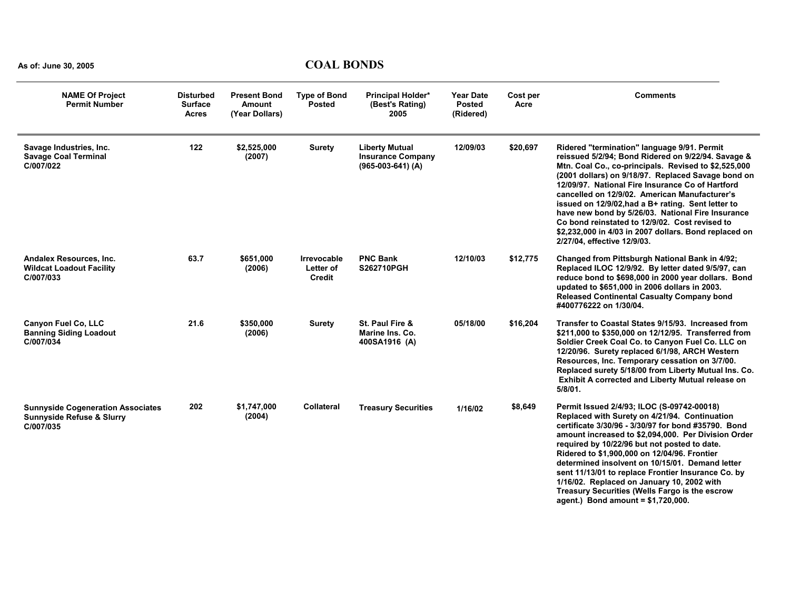| <b>NAME Of Project</b><br><b>Permit Number</b>                                                | <b>Disturbed</b><br><b>Surface</b><br><b>Acres</b> | <b>Present Bond</b><br><b>Amount</b><br>(Year Dollars) | <b>Type of Bond</b><br><b>Posted</b>      | <b>Principal Holder*</b><br>(Best's Rating)<br>2005                      | <b>Year Date</b><br><b>Posted</b><br>(Ridered) | Cost per<br>Acre | <b>Comments</b>                                                                                                                                                                                                                                                                                                                                                                                                                                                                                                                                                           |
|-----------------------------------------------------------------------------------------------|----------------------------------------------------|--------------------------------------------------------|-------------------------------------------|--------------------------------------------------------------------------|------------------------------------------------|------------------|---------------------------------------------------------------------------------------------------------------------------------------------------------------------------------------------------------------------------------------------------------------------------------------------------------------------------------------------------------------------------------------------------------------------------------------------------------------------------------------------------------------------------------------------------------------------------|
| Savage Industries, Inc.<br><b>Savage Coal Terminal</b><br>C/007/022                           | 122                                                | \$2,525,000<br>(2007)                                  | <b>Surety</b>                             | <b>Liberty Mutual</b><br><b>Insurance Company</b><br>$(965-003-641)$ (A) | 12/09/03                                       | \$20,697         | Ridered "termination" language 9/91. Permit<br>reissued 5/2/94; Bond Ridered on 9/22/94. Savage &<br>Mtn. Coal Co., co-principals. Revised to \$2,525,000<br>(2001 dollars) on 9/18/97. Replaced Savage bond on<br>12/09/97. National Fire Insurance Co of Hartford<br>cancelled on 12/9/02. American Manufacturer's<br>issued on 12/9/02, had a B+ rating. Sent letter to<br>have new bond by 5/26/03. National Fire Insurance<br>Co bond reinstated to 12/9/02. Cost revised to<br>\$2,232,000 in 4/03 in 2007 dollars. Bond replaced on<br>2/27/04, effective 12/9/03. |
| Andalex Resources, Inc.<br><b>Wildcat Loadout Facility</b><br>C/007/033                       | 63.7                                               | \$651,000<br>(2006)                                    | Irrevocable<br>Letter of<br><b>Credit</b> | <b>PNC Bank</b><br>S262710PGH                                            | 12/10/03                                       | \$12,775         | Changed from Pittsburgh National Bank in 4/92;<br>Replaced ILOC 12/9/92. By letter dated 9/5/97, can<br>reduce bond to \$698,000 in 2000 year dollars. Bond<br>updated to \$651,000 in 2006 dollars in 2003.<br><b>Released Continental Casualty Company bond</b><br>#400776222 on 1/30/04.                                                                                                                                                                                                                                                                               |
| <b>Canyon Fuel Co. LLC</b><br><b>Banning Siding Loadout</b><br>C/007/034                      | 21.6                                               | \$350,000<br>(2006)                                    | <b>Surety</b>                             | St. Paul Fire &<br>Marine Ins. Co.<br>400SA1916 (A)                      | 05/18/00                                       | \$16,204         | Transfer to Coastal States 9/15/93. Increased from<br>\$211,000 to \$350,000 on 12/12/95. Transferred from<br>Soldier Creek Coal Co. to Canyon Fuel Co. LLC on<br>12/20/96. Surety replaced 6/1/98, ARCH Western<br>Resources, Inc. Temporary cessation on 3/7/00.<br>Replaced surety 5/18/00 from Liberty Mutual Ins. Co.<br>Exhibit A corrected and Liberty Mutual release on<br>5/8/01.                                                                                                                                                                                |
| <b>Sunnyside Cogeneration Associates</b><br><b>Sunnyside Refuse &amp; Slurry</b><br>C/007/035 | 202                                                | \$1,747,000<br>(2004)                                  | <b>Collateral</b>                         | <b>Treasury Securities</b>                                               | 1/16/02                                        | \$8,649          | Permit Issued 2/4/93; ILOC (S-09742-00018)<br>Replaced with Surety on 4/21/94. Continuation<br>certificate 3/30/96 - 3/30/97 for bond #35790. Bond<br>amount increased to \$2,094,000. Per Division Order<br>required by 10/22/96 but not posted to date.<br>Ridered to \$1,900,000 on 12/04/96. Frontier<br>determined insolvent on 10/15/01. Demand letter<br>sent 11/13/01 to replace Frontier Insurance Co. by<br>1/16/02. Replaced on January 10, 2002 with<br>Treasury Securities (Wells Fargo is the escrow<br>agent.) Bond amount = $$1,720,000$ .                |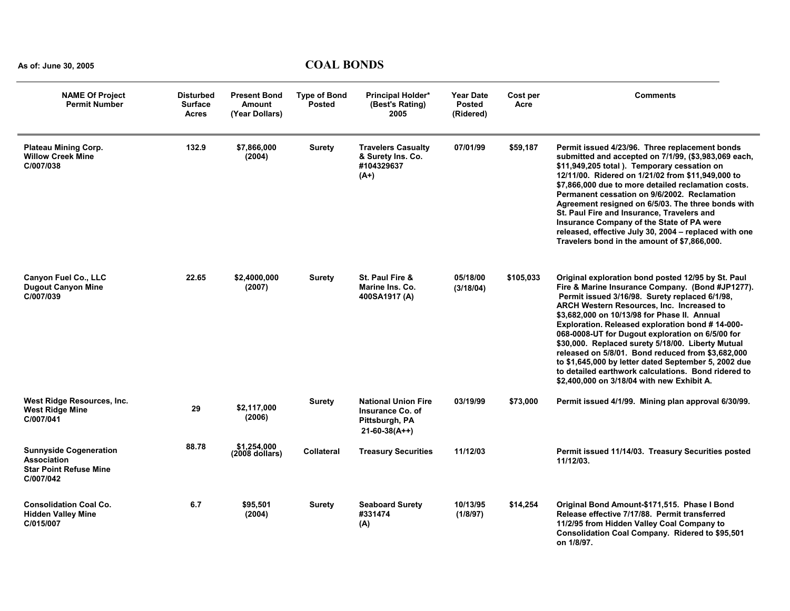| <b>NAME Of Project</b><br><b>Permit Number</b>                                                    | <b>Disturbed</b><br><b>Surface</b><br><b>Acres</b> | <b>Present Bond</b><br><b>Amount</b><br>(Year Dollars) | <b>Type of Bond</b><br><b>Posted</b> | <b>Principal Holder*</b><br>(Best's Rating)<br>2005                                 | <b>Year Date</b><br><b>Posted</b><br>(Ridered) | Cost per<br>Acre | <b>Comments</b>                                                                                                                                                                                                                                                                                                                                                                                                                                                                                                                                                                                                                            |
|---------------------------------------------------------------------------------------------------|----------------------------------------------------|--------------------------------------------------------|--------------------------------------|-------------------------------------------------------------------------------------|------------------------------------------------|------------------|--------------------------------------------------------------------------------------------------------------------------------------------------------------------------------------------------------------------------------------------------------------------------------------------------------------------------------------------------------------------------------------------------------------------------------------------------------------------------------------------------------------------------------------------------------------------------------------------------------------------------------------------|
| <b>Plateau Mining Corp.</b><br><b>Willow Creek Mine</b><br>C/007/038                              | 132.9                                              | \$7,866,000<br>(2004)                                  | <b>Surety</b>                        | <b>Travelers Casualty</b><br>& Surety Ins. Co.<br>#104329637<br>$(A+)$              | 07/01/99                                       | \$59,187         | Permit issued 4/23/96. Three replacement bonds<br>submitted and accepted on 7/1/99, (\$3,983,069 each,<br>\$11,949,205 total ). Temporary cessation on<br>12/11/00. Ridered on 1/21/02 from \$11,949,000 to<br>\$7,866,000 due to more detailed reclamation costs.<br>Permanent cessation on 9/6/2002. Reclamation<br>Agreement resigned on 6/5/03. The three bonds with<br>St. Paul Fire and Insurance, Travelers and<br>Insurance Company of the State of PA were<br>released, effective July 30, 2004 - replaced with one<br>Travelers bond in the amount of \$7,866,000.                                                               |
| <b>Canyon Fuel Co., LLC</b><br><b>Dugout Canyon Mine</b><br>C/007/039                             | 22.65                                              | \$2,4000,000<br>(2007)                                 | <b>Surety</b>                        | St. Paul Fire &<br>Marine Ins. Co.<br>400SA1917 (A)                                 | 05/18/00<br>(3/18/04)                          | \$105,033        | Original exploration bond posted 12/95 by St. Paul<br>Fire & Marine Insurance Company. (Bond #JP1277).<br>Permit issued 3/16/98. Surety replaced 6/1/98,<br><b>ARCH Western Resources, Inc. Increased to</b><br>\$3,682,000 on 10/13/98 for Phase II. Annual<br>Exploration. Released exploration bond #14-000-<br>068-0008-UT for Dugout exploration on 6/5/00 for<br>\$30,000. Replaced surety 5/18/00. Liberty Mutual<br>released on 5/8/01. Bond reduced from \$3,682,000<br>to \$1,645,000 by letter dated September 5, 2002 due<br>to detailed earthwork calculations. Bond ridered to<br>\$2,400,000 on 3/18/04 with new Exhibit A. |
| West Ridge Resources, Inc.<br><b>West Ridge Mine</b><br>C/007/041                                 | 29                                                 | \$2,117,000<br>(2006)                                  | <b>Surety</b>                        | <b>National Union Fire</b><br>Insurance Co. of<br>Pittsburgh, PA<br>$21-60-38(A++)$ | 03/19/99                                       | \$73,000         | Permit issued 4/1/99. Mining plan approval 6/30/99.                                                                                                                                                                                                                                                                                                                                                                                                                                                                                                                                                                                        |
| <b>Sunnyside Cogeneration</b><br><b>Association</b><br><b>Star Point Refuse Mine</b><br>C/007/042 | 88.78                                              | \$1.254.000<br>$(2008$ dollars)                        | Collateral                           | <b>Treasury Securities</b>                                                          | 11/12/03                                       |                  | Permit issued 11/14/03. Treasury Securities posted<br>11/12/03.                                                                                                                                                                                                                                                                                                                                                                                                                                                                                                                                                                            |
| <b>Consolidation Coal Co.</b><br><b>Hidden Valley Mine</b><br>C/015/007                           | 6.7                                                | \$95,501<br>(2004)                                     | <b>Surety</b>                        | <b>Seaboard Surety</b><br>#331474<br>(A)                                            | 10/13/95<br>(1/8/97)                           | \$14,254         | Original Bond Amount-\$171,515. Phase I Bond<br>Release effective 7/17/88. Permit transferred<br>11/2/95 from Hidden Valley Coal Company to<br>Consolidation Coal Company. Ridered to \$95,501<br>on 1/8/97.                                                                                                                                                                                                                                                                                                                                                                                                                               |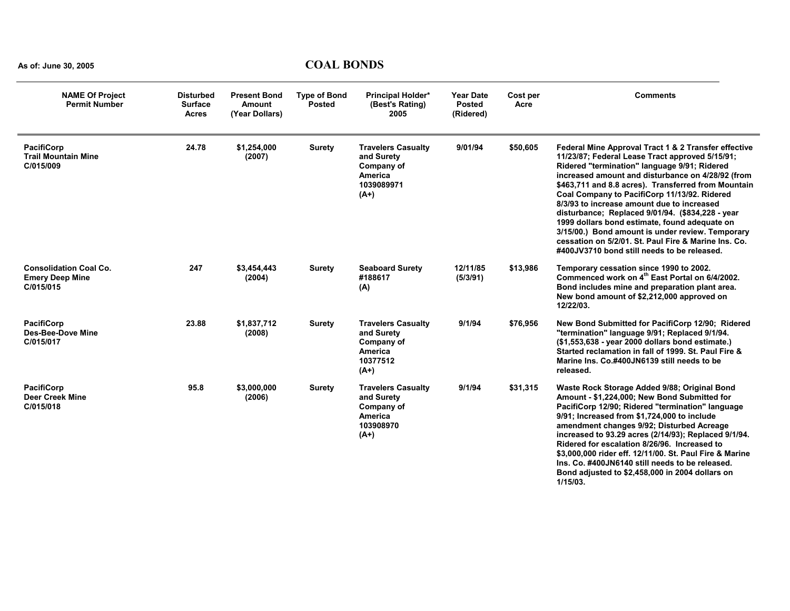| <b>NAME Of Project</b><br><b>Permit Number</b>                       | <b>Disturbed</b><br><b>Surface</b><br><b>Acres</b> | <b>Present Bond</b><br><b>Amount</b><br>(Year Dollars) | <b>Type of Bond</b><br><b>Posted</b> | Principal Holder*<br>(Best's Rating)<br>2005                                                    | <b>Year Date</b><br><b>Posted</b><br>(Ridered) | Cost per<br>Acre | <b>Comments</b>                                                                                                                                                                                                                                                                                                                                                                                                                                                                                                                                                                                                                   |
|----------------------------------------------------------------------|----------------------------------------------------|--------------------------------------------------------|--------------------------------------|-------------------------------------------------------------------------------------------------|------------------------------------------------|------------------|-----------------------------------------------------------------------------------------------------------------------------------------------------------------------------------------------------------------------------------------------------------------------------------------------------------------------------------------------------------------------------------------------------------------------------------------------------------------------------------------------------------------------------------------------------------------------------------------------------------------------------------|
| <b>PacifiCorp</b><br><b>Trail Mountain Mine</b><br>C/015/009         | 24.78                                              | \$1,254,000<br>(2007)                                  | <b>Surety</b>                        | <b>Travelers Casualty</b><br>and Surety<br>Company of<br><b>America</b><br>1039089971<br>$(A+)$ | 9/01/94                                        | \$50,605         | Federal Mine Approval Tract 1 & 2 Transfer effective<br>11/23/87; Federal Lease Tract approved 5/15/91;<br>Ridered "termination" language 9/91; Ridered<br>increased amount and disturbance on 4/28/92 (from<br>\$463,711 and 8.8 acres). Transferred from Mountain<br>Coal Company to PacifiCorp 11/13/92. Ridered<br>8/3/93 to increase amount due to increased<br>disturbance; Replaced 9/01/94. (\$834,228 - year<br>1999 dollars bond estimate, found adequate on<br>3/15/00.) Bond amount is under review. Temporary<br>cessation on 5/2/01. St. Paul Fire & Marine Ins. Co.<br>#400JV3710 bond still needs to be released. |
| <b>Consolidation Coal Co.</b><br><b>Emery Deep Mine</b><br>C/015/015 | 247                                                | \$3,454,443<br>(2004)                                  | <b>Surety</b>                        | <b>Seaboard Surety</b><br>#188617<br>(A)                                                        | 12/11/85<br>(5/3/91)                           | \$13,986         | Temporary cessation since 1990 to 2002.<br>Commenced work on 4 <sup>th</sup> East Portal on 6/4/2002.<br>Bond includes mine and preparation plant area.<br>New bond amount of \$2,212,000 approved on<br>12/22/03.                                                                                                                                                                                                                                                                                                                                                                                                                |
| <b>PacifiCorp</b><br><b>Des-Bee-Dove Mine</b><br>C/015/017           | 23.88                                              | \$1,837,712<br>(2008)                                  | <b>Surety</b>                        | <b>Travelers Casualty</b><br>and Surety<br>Company of<br><b>America</b><br>10377512<br>$(A+)$   | 9/1/94                                         | \$76,956         | New Bond Submitted for PacifiCorp 12/90; Ridered<br>"termination" language 9/91; Replaced 9/1/94.<br>(\$1,553,638 - year 2000 dollars bond estimate.)<br>Started reclamation in fall of 1999. St. Paul Fire &<br>Marine Ins. Co.#400JN6139 still needs to be<br>released.                                                                                                                                                                                                                                                                                                                                                         |
| <b>PacifiCorp</b><br><b>Deer Creek Mine</b><br>C/015/018             | 95.8                                               | \$3,000,000<br>(2006)                                  | <b>Surety</b>                        | <b>Travelers Casualty</b><br>and Surety<br>Company of<br><b>America</b><br>103908970<br>$(A+)$  | 9/1/94                                         | \$31,315         | Waste Rock Storage Added 9/88; Original Bond<br>Amount - \$1,224,000; New Bond Submitted for<br>PacifiCorp 12/90; Ridered "termination" language<br>9/91; Increased from \$1,724,000 to include<br>amendment changes 9/92; Disturbed Acreage<br>increased to 93.29 acres (2/14/93); Replaced 9/1/94.<br>Ridered for escalation 8/26/96. Increased to<br>\$3,000,000 rider eff. 12/11/00. St. Paul Fire & Marine<br>Ins. Co. #400JN6140 still needs to be released.<br>Bond adjusted to \$2,458,000 in 2004 dollars on<br>$1/15/03$ .                                                                                              |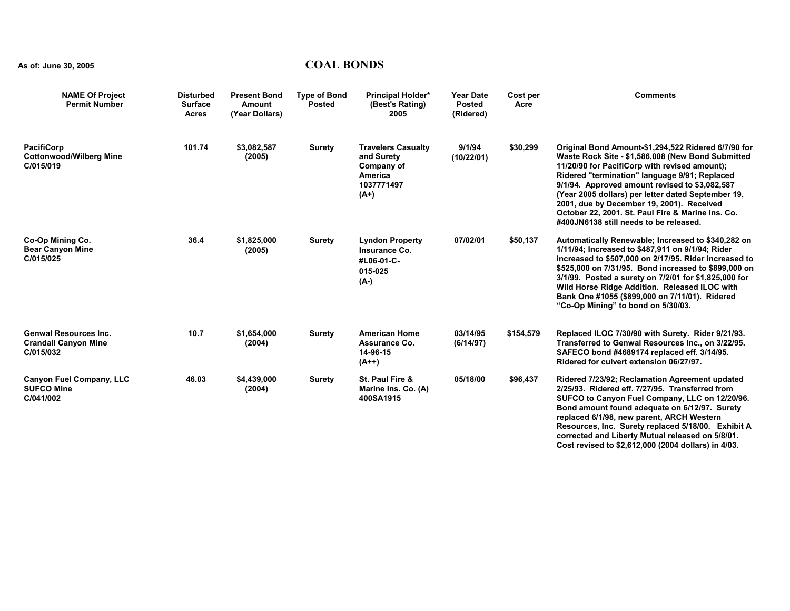| <b>NAME Of Project</b><br><b>Permit Number</b>                           | <b>Disturbed</b><br><b>Surface</b><br><b>Acres</b> | <b>Present Bond</b><br><b>Amount</b><br>(Year Dollars) | <b>Type of Bond</b><br><b>Posted</b> | <b>Principal Holder*</b><br>(Best's Rating)<br>2005                                             | <b>Year Date</b><br><b>Posted</b><br>(Ridered) | Cost per<br>Acre | <b>Comments</b>                                                                                                                                                                                                                                                                                                                                                                                                                                                |
|--------------------------------------------------------------------------|----------------------------------------------------|--------------------------------------------------------|--------------------------------------|-------------------------------------------------------------------------------------------------|------------------------------------------------|------------------|----------------------------------------------------------------------------------------------------------------------------------------------------------------------------------------------------------------------------------------------------------------------------------------------------------------------------------------------------------------------------------------------------------------------------------------------------------------|
| <b>PacifiCorp</b><br><b>Cottonwood/Wilberg Mine</b><br>C/015/019         | 101.74                                             | \$3,082,587<br>(2005)                                  | <b>Surety</b>                        | <b>Travelers Casualty</b><br>and Surety<br>Company of<br><b>America</b><br>1037771497<br>$(A+)$ | 9/1/94<br>(10/22/01)                           | \$30,299         | Original Bond Amount-\$1,294,522 Ridered 6/7/90 for<br>Waste Rock Site - \$1,586,008 (New Bond Submitted<br>11/20/90 for PacifiCorp with revised amount);<br>Ridered "termination" language 9/91; Replaced<br>9/1/94. Approved amount revised to \$3,082,587<br>(Year 2005 dollars) per letter dated September 19,<br>2001, due by December 19, 2001). Received<br>October 22, 2001. St. Paul Fire & Marine Ins. Co.<br>#400JN6138 still needs to be released. |
| Co-Op Mining Co.<br><b>Bear Canyon Mine</b><br>C/015/025                 | 36.4                                               | \$1,825,000<br>(2005)                                  | <b>Surety</b>                        | <b>Lyndon Property</b><br>Insurance Co.<br>#L06-01-C-<br>015-025<br>$(A-)$                      | 07/02/01                                       | \$50,137         | Automatically Renewable; Increased to \$340,282 on<br>1/11/94; Increased to \$487,911 on 9/1/94; Rider<br>increased to \$507,000 on 2/17/95. Rider increased to<br>\$525,000 on 7/31/95. Bond increased to \$899,000 on<br>3/1/99. Posted a surety on 7/2/01 for \$1,825,000 for<br>Wild Horse Ridge Addition. Released ILOC with<br>Bank One #1055 (\$899,000 on 7/11/01). Ridered<br>"Co-Op Mining" to bond on 5/30/03.                                      |
| <b>Genwal Resources Inc.</b><br><b>Crandall Canyon Mine</b><br>C/015/032 | 10.7                                               | \$1,654,000<br>(2004)                                  | <b>Surety</b>                        | <b>American Home</b><br>Assurance Co.<br>14-96-15<br>$(A++)$                                    | 03/14/95<br>(6/14/97)                          | \$154,579        | Replaced ILOC 7/30/90 with Surety. Rider 9/21/93.<br>Transferred to Genwal Resources Inc., on 3/22/95.<br>SAFECO bond #4689174 replaced eff. 3/14/95.<br>Ridered for culvert extension 06/27/97.                                                                                                                                                                                                                                                               |
| <b>Canyon Fuel Company, LLC</b><br><b>SUFCO Mine</b><br>C/041/002        | 46.03                                              | \$4,439,000<br>(2004)                                  | <b>Surety</b>                        | St. Paul Fire &<br>Marine Ins. Co. (A)<br>400SA1915                                             | 05/18/00                                       | \$96,437         | Ridered 7/23/92; Reclamation Agreement updated<br>2/25/93. Ridered eff. 7/27/95. Transferred from<br>SUFCO to Canyon Fuel Company, LLC on 12/20/96.<br>Bond amount found adequate on 6/12/97. Surety<br>replaced 6/1/98, new parent, ARCH Western<br>Resources, Inc. Surety replaced 5/18/00. Exhibit A<br>corrected and Liberty Mutual released on 5/8/01.<br>Cost revised to \$2,612,000 (2004 dollars) in 4/03.                                             |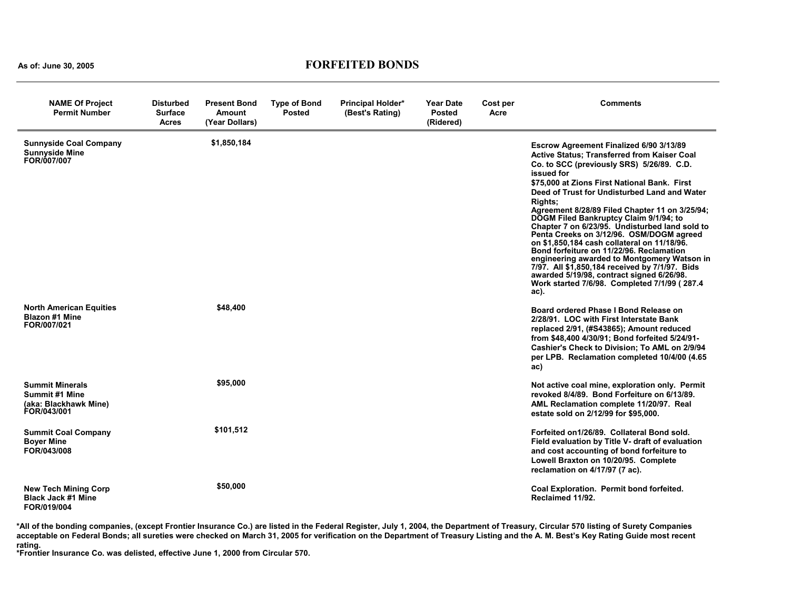#### **As of: June 30, 2005 FORFEITED BONDS**

| <b>NAME Of Project</b><br><b>Permit Number</b>                                          | <b>Disturbed</b><br><b>Surface</b><br><b>Acres</b> | Present Bond<br>Amount<br>(Year Dollars) | <b>Type of Bond</b><br><b>Posted</b> | <b>Principal Holder*</b><br>(Best's Rating) | <b>Year Date</b><br><b>Posted</b><br>(Ridered) | Cost per<br>Acre | <b>Comments</b>                                                                                                                                                                                                                                                                                                                                                                                                                                                                                                                                                                                                                                                                                                                                                       |
|-----------------------------------------------------------------------------------------|----------------------------------------------------|------------------------------------------|--------------------------------------|---------------------------------------------|------------------------------------------------|------------------|-----------------------------------------------------------------------------------------------------------------------------------------------------------------------------------------------------------------------------------------------------------------------------------------------------------------------------------------------------------------------------------------------------------------------------------------------------------------------------------------------------------------------------------------------------------------------------------------------------------------------------------------------------------------------------------------------------------------------------------------------------------------------|
| <b>Sunnyside Coal Company</b><br><b>Sunnyside Mine</b><br>FOR/007/007                   |                                                    | \$1,850,184                              |                                      |                                             |                                                |                  | Escrow Agreement Finalized 6/90 3/13/89<br><b>Active Status: Transferred from Kaiser Coal</b><br>Co. to SCC (previously SRS) 5/26/89. C.D.<br>issued for<br>\$75,000 at Zions First National Bank. First<br>Deed of Trust for Undisturbed Land and Water<br><b>Rights:</b><br>Agreement 8/28/89 Filed Chapter 11 on 3/25/94;<br>DOGM Filed Bankruptcy Claim 9/1/94; to<br>Chapter 7 on 6/23/95. Undisturbed land sold to<br>Penta Creeks on 3/12/96. OSM/DOGM agreed<br>on \$1,850,184 cash collateral on 11/18/96.<br>Bond forfeiture on 11/22/96. Reclamation<br>engineering awarded to Montgomery Watson in<br>7/97. All \$1,850,184 received by 7/1/97. Bids<br>awarded 5/19/98, contract signed 6/26/98.<br>Work started 7/6/98. Completed 7/1/99 (287.4<br>ac). |
| <b>North American Equities</b><br><b>Blazon #1 Mine</b><br>FOR/007/021                  |                                                    | \$48,400                                 |                                      |                                             |                                                |                  | Board ordered Phase I Bond Release on<br>2/28/91. LOC with First Interstate Bank<br>replaced 2/91, (#S43865); Amount reduced<br>from \$48,400 4/30/91; Bond forfeited 5/24/91-<br>Cashier's Check to Division; To AML on 2/9/94<br>per LPB. Reclamation completed 10/4/00 (4.65)<br>ac)                                                                                                                                                                                                                                                                                                                                                                                                                                                                               |
| <b>Summit Minerals</b><br><b>Summit #1 Mine</b><br>(aka: Blackhawk Mine)<br>FOR/043/001 |                                                    | \$95,000                                 |                                      |                                             |                                                |                  | Not active coal mine, exploration only. Permit<br>revoked 8/4/89. Bond Forfeiture on 6/13/89.<br>AML Reclamation complete 11/20/97. Real<br>estate sold on 2/12/99 for \$95,000.                                                                                                                                                                                                                                                                                                                                                                                                                                                                                                                                                                                      |
| <b>Summit Coal Company</b><br><b>Boyer Mine</b><br>FOR/043/008                          |                                                    | \$101,512                                |                                      |                                             |                                                |                  | Forfeited on 1/26/89. Collateral Bond sold.<br>Field evaluation by Title V- draft of evaluation<br>and cost accounting of bond forfeiture to<br>Lowell Braxton on 10/20/95. Complete<br>reclamation on 4/17/97 (7 ac).                                                                                                                                                                                                                                                                                                                                                                                                                                                                                                                                                |
| <b>New Tech Mining Corp</b><br><b>Black Jack #1 Mine</b><br>FOR/019/004                 |                                                    | \$50,000                                 |                                      |                                             |                                                |                  | Coal Exploration. Permit bond forfeited.<br>Reclaimed 11/92.                                                                                                                                                                                                                                                                                                                                                                                                                                                                                                                                                                                                                                                                                                          |

**\*All of the bonding companies, (except Frontier Insurance Co.) are listed in the Federal Register, July 1, 2004, the Department of Treasury, Circular 570 listing of Surety Companies acceptable on Federal Bonds; all sureties were checked on March 31, 2005 for verification on the Department of Treasury Listing and the A. M. Best's Key Rating Guide most recent** 

**rating. \*Frontier Insurance Co. was delisted, effective June 1, 2000 from Circular 570.**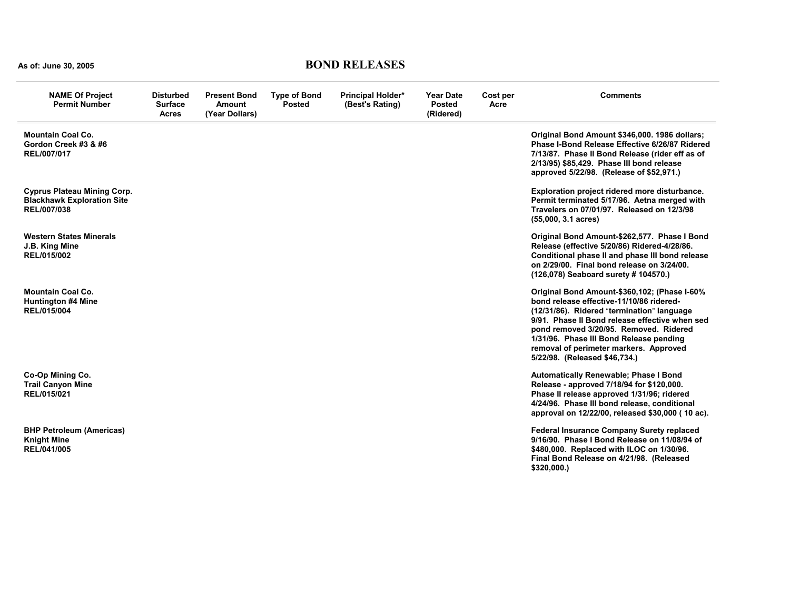# **As of: June 30, 2005 BOND RELEASES**

| <b>NAME Of Project</b><br><b>Permit Number</b>                                         | <b>Disturbed</b><br><b>Surface</b><br><b>Acres</b> | <b>Present Bond</b><br><b>Amount</b><br>(Year Dollars) | <b>Type of Bond</b><br><b>Posted</b> | <b>Principal Holder*</b><br>(Best's Rating) | <b>Year Date</b><br><b>Posted</b><br>(Ridered) | Cost per<br>Acre | <b>Comments</b>                                                                                                                                                                                                                                                                                                                                          |
|----------------------------------------------------------------------------------------|----------------------------------------------------|--------------------------------------------------------|--------------------------------------|---------------------------------------------|------------------------------------------------|------------------|----------------------------------------------------------------------------------------------------------------------------------------------------------------------------------------------------------------------------------------------------------------------------------------------------------------------------------------------------------|
| <b>Mountain Coal Co.</b><br>Gordon Creek #3 & #6<br>REL/007/017                        |                                                    |                                                        |                                      |                                             |                                                |                  | Original Bond Amount \$346,000. 1986 dollars;<br>Phase I-Bond Release Effective 6/26/87 Ridered<br>7/13/87. Phase II Bond Release (rider eff as of<br>2/13/95) \$85,429. Phase III bond release<br>approved 5/22/98. (Release of \$52,971.)                                                                                                              |
| <b>Cyprus Plateau Mining Corp.</b><br><b>Blackhawk Exploration Site</b><br>REL/007/038 |                                                    |                                                        |                                      |                                             |                                                |                  | Exploration project ridered more disturbance.<br>Permit terminated 5/17/96. Aetna merged with<br>Travelers on 07/01/97. Released on 12/3/98<br>$(55,000, 3.1 \text{ acres})$                                                                                                                                                                             |
| <b>Western States Minerals</b><br>J.B. King Mine<br>REL/015/002                        |                                                    |                                                        |                                      |                                             |                                                |                  | Original Bond Amount-\$262,577. Phase I Bond<br>Release (effective 5/20/86) Ridered-4/28/86.<br>Conditional phase II and phase III bond release<br>on 2/29/00. Final bond release on 3/24/00.<br>(126,078) Seaboard surety # 104570.)                                                                                                                    |
| <b>Mountain Coal Co.</b><br><b>Huntington #4 Mine</b><br>REL/015/004                   |                                                    |                                                        |                                      |                                             |                                                |                  | Original Bond Amount-\$360,102; (Phase I-60%<br>bond release effective-11/10/86 ridered-<br>(12/31/86). Ridered "termination" language<br>9/91. Phase II Bond release effective when sed<br>pond removed 3/20/95. Removed. Ridered<br>1/31/96. Phase III Bond Release pending<br>removal of perimeter markers. Approved<br>5/22/98. (Released \$46,734.) |
| Co-Op Mining Co.<br><b>Trail Canyon Mine</b><br>REL/015/021                            |                                                    |                                                        |                                      |                                             |                                                |                  | Automatically Renewable; Phase I Bond<br>Release - approved 7/18/94 for \$120,000.<br>Phase II release approved 1/31/96; ridered<br>4/24/96. Phase III bond release, conditional<br>approval on 12/22/00, released \$30,000 (10 ac).                                                                                                                     |
| <b>BHP Petroleum (Americas)</b><br><b>Knight Mine</b><br>REL/041/005                   |                                                    |                                                        |                                      |                                             |                                                |                  | <b>Federal Insurance Company Surety replaced</b><br>9/16/90. Phase I Bond Release on 11/08/94 of<br>\$480,000. Replaced with ILOC on 1/30/96.<br>Final Bond Release on 4/21/98. (Released<br>\$320,000.                                                                                                                                                  |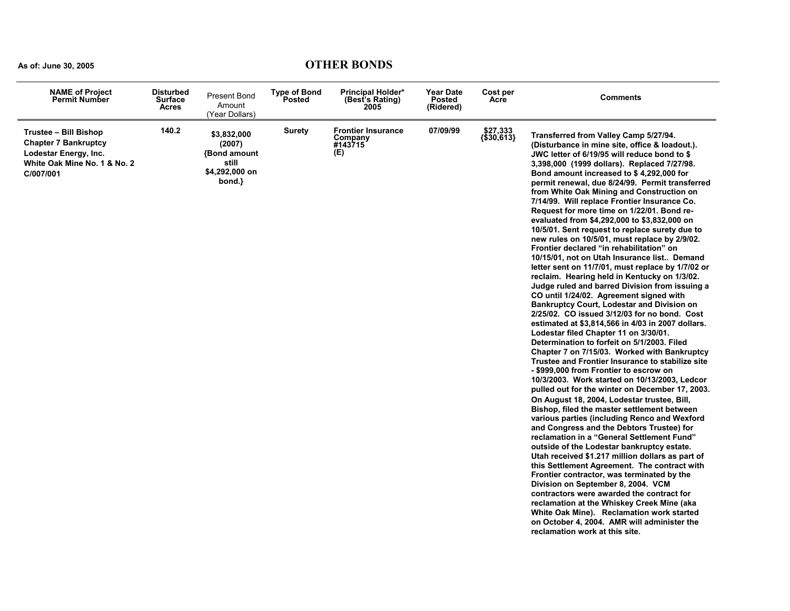### **As of: June 30, 2005 OTHER BONDS**

| <b>NAME of Project</b><br><b>Permit Number</b>                                                                                    | <b>Disturbed</b><br>Surface<br>Acres | <b>Present Bond</b><br>Amount<br>(Year Dollars)                                  | <b>Type of Bond</b><br>Posted | <b>Principal Holder*</b><br>(Best's Rating)<br>2005    | <b>Year Date</b><br><b>Posted</b><br>(Ridered) | Cost per<br>Acre                     | <b>Comments</b>                                                                                                                                                                                                                                                                                                                                                                                                                                                                                                                                                                                                                                                                                                                                                                                                                                                                                                                                                                                                                                                                                                                                                                                                                                                                                                                                                                                                                                                                                                                                                                                                                                                                                                                                                                                                                                                                                                                                                                                                                                                                              |
|-----------------------------------------------------------------------------------------------------------------------------------|--------------------------------------|----------------------------------------------------------------------------------|-------------------------------|--------------------------------------------------------|------------------------------------------------|--------------------------------------|----------------------------------------------------------------------------------------------------------------------------------------------------------------------------------------------------------------------------------------------------------------------------------------------------------------------------------------------------------------------------------------------------------------------------------------------------------------------------------------------------------------------------------------------------------------------------------------------------------------------------------------------------------------------------------------------------------------------------------------------------------------------------------------------------------------------------------------------------------------------------------------------------------------------------------------------------------------------------------------------------------------------------------------------------------------------------------------------------------------------------------------------------------------------------------------------------------------------------------------------------------------------------------------------------------------------------------------------------------------------------------------------------------------------------------------------------------------------------------------------------------------------------------------------------------------------------------------------------------------------------------------------------------------------------------------------------------------------------------------------------------------------------------------------------------------------------------------------------------------------------------------------------------------------------------------------------------------------------------------------------------------------------------------------------------------------------------------------|
| <b>Trustee - Bill Bishop</b><br><b>Chapter 7 Bankruptcy</b><br>Lodestar Energy, Inc.<br>White Oak Mine No. 1 & No. 2<br>C/007/001 | 140.2                                | \$3,832,000<br>(2007)<br><b>Bond amount</b><br>still<br>\$4,292,000 on<br>bond.} | <b>Surety</b>                 | <b>Frontier Insurance</b><br>Company<br>#143715<br>(E) | 07/09/99                                       | \$27,333<br>$\{\overline{$30,613}\}$ | Transferred from Valley Camp 5/27/94.<br>(Disturbance in mine site, office & loadout.).<br>JWC letter of 6/19/95 will reduce bond to \$<br>3,398,000 (1999 dollars). Replaced 7/27/98.<br>Bond amount increased to \$4,292,000 for<br>permit renewal, due 8/24/99. Permit transferred<br>from White Oak Mining and Construction on<br>7/14/99. Will replace Frontier Insurance Co.<br>Request for more time on 1/22/01. Bond re-<br>evaluated from \$4,292,000 to \$3,832,000 on<br>10/5/01. Sent request to replace surety due to<br>new rules on 10/5/01, must replace by 2/9/02.<br>Frontier declared "in rehabilitation" on<br>10/15/01, not on Utah Insurance list Demand<br>letter sent on 11/7/01, must replace by 1/7/02 or<br>reclaim. Hearing held in Kentucky on 1/3/02.<br>Judge ruled and barred Division from issuing a<br>CO until 1/24/02. Agreement signed with<br><b>Bankruptcy Court, Lodestar and Division on</b><br>2/25/02. CO issued 3/12/03 for no bond. Cost<br>estimated at \$3,814,566 in 4/03 in 2007 dollars.<br>Lodestar filed Chapter 11 on 3/30/01.<br>Determination to forfeit on 5/1/2003. Filed<br>Chapter 7 on 7/15/03. Worked with Bankruptcy<br>Trustee and Frontier Insurance to stabilize site<br>- \$999,000 from Frontier to escrow on<br>10/3/2003. Work started on 10/13/2003, Ledcor<br>pulled out for the winter on December 17, 2003.<br>On August 18, 2004, Lodestar trustee, Bill,<br>Bishop, filed the master settlement between<br>various parties (including Renco and Wexford<br>and Congress and the Debtors Trustee) for<br>reclamation in a "General Settlement Fund"<br>outside of the Lodestar bankruptcy estate.<br>Utah received \$1.217 million dollars as part of<br>this Settlement Agreement. The contract with<br>Frontier contractor, was terminated by the<br>Division on September 8, 2004. VCM<br>contractors were awarded the contract for<br>reclamation at the Whiskey Creek Mine (aka<br>White Oak Mine). Reclamation work started<br>on October 4, 2004. AMR will administer the<br>reclamation work at this site. |